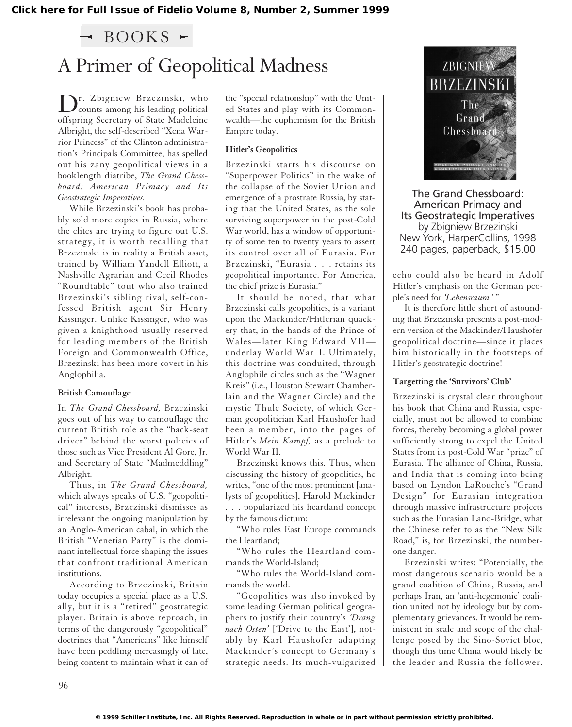### $\sim$  BOOKS  $\sim$

# A Primer of Geopolitical Madness

Dr. Zbigniew Brzezinski, who counts among his leading political offspring Secretary of State Madeleine Albright, the self-described "Xena Warrior Princess" of the Clinton administration's Principals Committee, has spelled out his zany geopolitical views in a booklength diatribe, *The Grand Chessboard: American Primacy and Its Geostrategic Imperatives.*

While Brzezinski's book has probably sold more copies in Russia, where the elites are trying to figure out U.S. strategy, it is worth recalling that Brzezinski is in reality a British asset, trained by William Yandell Elliott, a Nashville Agrarian and Cecil Rhodes "Roundtable" tout who also trained Brzezinski's sibling rival, self-confessed British agent Sir Henry Kissinger. Unlike Kissinger, who was given a knighthood usually reserved for leading members of the British Foreign and Commonwealth Office, Brzezinski has been more covert in his Anglophilia.

#### **British Camouflage**

In *The Grand Chessboard,* Brzezinski goes out of his way to camouflage the current British role as the "back-seat driver" behind the worst policies of those such as Vice President Al Gore, Jr. and Secretary of State "Madmeddling" Albright.

Thus, in *The Grand Chessboard,* which always speaks of U.S. "geopolitical" interests, Brzezinski dismisses as irrelevant the ongoing manipulation by an Anglo-American cabal, in which the British "Venetian Party" is the dominant intellectual force shaping the issues that confront traditional American institutions.

According to Brzezinski, Britain today occupies a special place as a U.S. ally, but it is a "retired" geostrategic player. Britain is above reproach, in terms of the dangerously "geopolitical" doctrines that "Americans" like himself have been peddling increasingly of late, being content to maintain what it can of the "special relationship" with the United States and play with its Commonwealth—the euphemism for the British Empire today.

#### **Hitler's Geopolitics**

Brzezinski starts his discourse on "Superpower Politics" in the wake of the collapse of the Soviet Union and emergence of a prostrate Russia, by stating that the United States, as the sole surviving superpower in the post-Cold War world, has a window of opportunity of some ten to twenty years to assert its control over all of Eurasia. For Brzezinski, "Eurasia . . . retains its geopolitical importance. For America, the chief prize is Eurasia."

It should be noted, that what Brzezinski calls geopolitics, is a variant upon the Mackinder/Hitlerian quackery that, in the hands of the Prince of Wales—later King Edward VII underlay World War I. Ultimately, this doctrine was conduited, through Anglophile circles such as the "Wagner Kreis" (i.e., Houston Stewart Chamberlain and the Wagner Circle) and the mystic Thule Society, of which German geopolitician Karl Haushofer had been a member, into the pages of Hitler's *Mein Kampf,* as a prelude to World War II.

Brzezinski knows this. Thus, when discussing the history of geopolitics, he writes, "one of the most prominent [analysts of geopolitics], Harold Mackinder . . . popularized his heartland concept by the famous dictum:

"Who rules East Europe commands the Heartland;

"Who rules the Heartland commands the World-Island;

"Who rules the World-Island commands the world.

"Geopolitics was also invoked by some leading German political geographers to justify their country's *'Drang nach Osten'* ['Drive to the East'], notably by Karl Haushofer adapting Mackinder's concept to Germany's strategic needs. Its much-vulgarized



The Grand Chessboard: American Primacy and Its Geostrategic Imperatives by Zbigniew Brzezinski New York, HarperCollins, 1998 240 pages, paperback, \$15.00

echo could also be heard in Adolf Hitler's emphasis on the German people's need for *'Lebensraum.'* "

It is therefore little short of astounding that Brzezinski presents a post-modern version of the Mackinder/Haushofer geopolitical doctrine—since it places him historically in the footsteps of Hitler's geostrategic doctrine!

#### **Targetting the 'Survivors' Club'**

Brzezinski is crystal clear throughout his book that China and Russia, especially, must not be allowed to combine forces, thereby becoming a global power sufficiently strong to expel the United States from its post-Cold War "prize" of Eurasia. The alliance of China, Russia, and India that is coming into being based on Lyndon LaRouche's "Grand Design" for Eurasian integration through massive infrastructure projects such as the Eurasian Land-Bridge, what the Chinese refer to as the "New Silk Road," is, for Brzezinski, the numberone danger.

Brzezinski writes: "Potentially, the most dangerous scenario would be a grand coalition of China, Russia, and perhaps Iran, an 'anti-hegemonic' coalition united not by ideology but by complementary grievances. It would be reminiscent in scale and scope of the challenge posed by the Sino-Soviet bloc, though this time China would likely be the leader and Russia the follower.